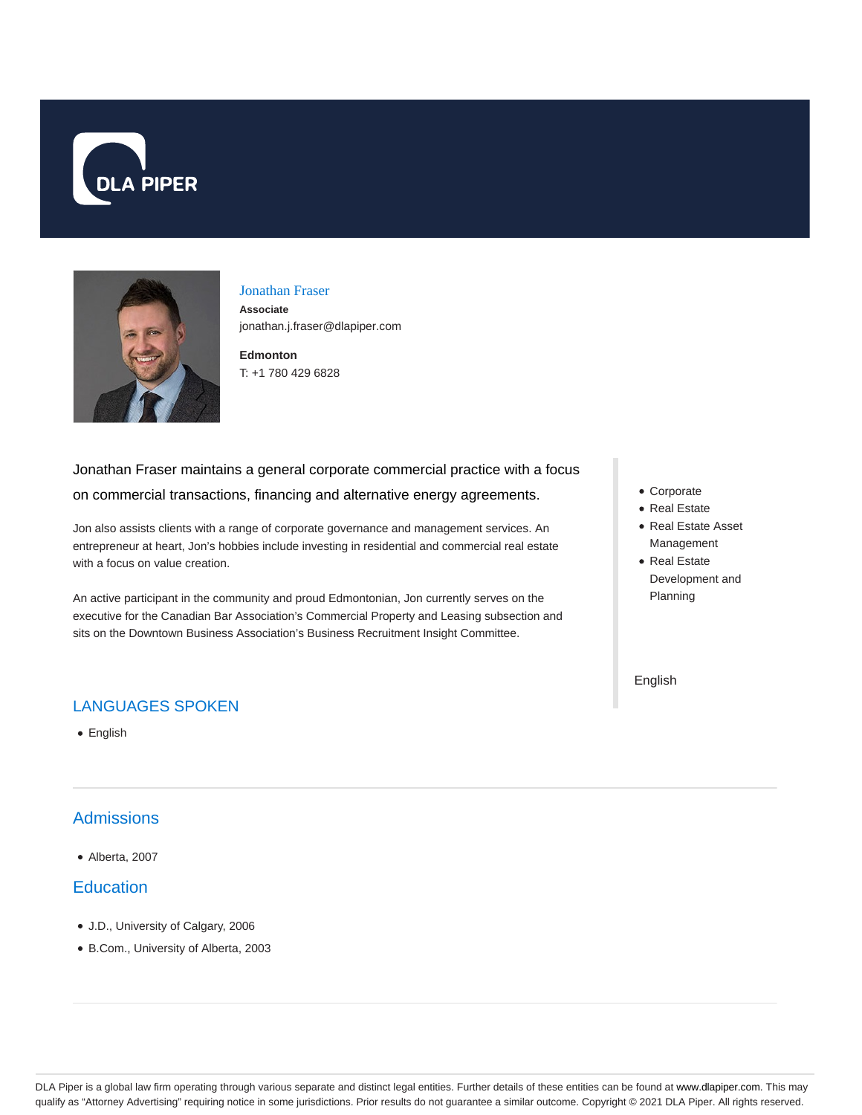



#### Jonathan Fraser

**Associate** jonathan.j.fraser@dlapiper.com

**Edmonton** T: +1 780 429 6828

# Jonathan Fraser maintains a general corporate commercial practice with a focus on commercial transactions, financing and alternative energy agreements.

Jon also assists clients with a range of corporate governance and management services. An entrepreneur at heart, Jon's hobbies include investing in residential and commercial real estate with a focus on value creation.

An active participant in the community and proud Edmontonian, Jon currently serves on the executive for the Canadian Bar Association's Commercial Property and Leasing subsection and sits on the Downtown Business Association's Business Recruitment Insight Committee.

### LANGUAGES SPOKEN

• English

## Admissions

Alberta, 2007

### **Education**

- J.D., University of Calgary, 2006
- B.Com., University of Alberta, 2003
- Corporate
- Real Estate
- Real Estate Asset Management
- Real Estate Development and Planning

English